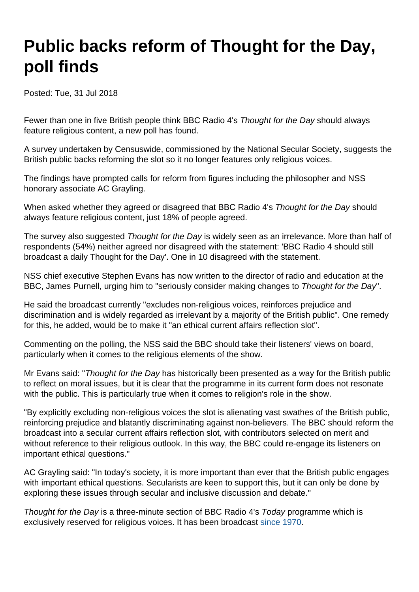## Public backs reform of Thought for the Day, poll finds

Posted: Tue, 31 Jul 2018

Fewer than one in five British people think BBC Radio 4's Thought for the Day should always feature religious content, a new poll has found.

A survey undertaken by Censuswide, commissioned by the National Secular Society, suggests the British public backs reforming the slot so it no longer features only religious voices.

The findings have prompted calls for reform from figures including the philosopher and NSS honorary associate AC Grayling.

When asked whether they agreed or disagreed that BBC Radio 4's Thought for the Day should always feature religious content, just 18% of people agreed.

The survey also suggested Thought for the Day is widely seen as an irrelevance. More than half of respondents (54%) neither agreed nor disagreed with the statement: 'BBC Radio 4 should still broadcast a daily Thought for the Day'. One in 10 disagreed with the statement.

NSS chief executive Stephen Evans has now written to the director of radio and education at the BBC, James Purnell, urging him to "seriously consider making changes to Thought for the Day".

He said the broadcast currently "excludes non-religious voices, reinforces prejudice and discrimination and is widely regarded as irrelevant by a majority of the British public". One remedy for this, he added, would be to make it "an ethical current affairs reflection slot".

Commenting on the polling, the NSS said the BBC should take their listeners' views on board, particularly when it comes to the religious elements of the show.

Mr Evans said: "Thought for the Day has historically been presented as a way for the British public to reflect on moral issues, but it is clear that the programme in its current form does not resonate with the public. This is particularly true when it comes to religion's role in the show.

"By explicitly excluding non-religious voices the slot is alienating vast swathes of the British public, reinforcing prejudice and blatantly discriminating against non-believers. The BBC should reform the broadcast into a secular current affairs reflection slot, with contributors selected on merit and without reference to their religious outlook. In this way, the BBC could re-engage its listeners on important ethical questions."

AC Grayling said: "In today's society, it is more important than ever that the British public engages with important ethical questions. Secularists are keen to support this, but it can only be done by exploring these issues through secular and inclusive discussion and debate."

Thought for the Day is a three-minute section of BBC Radio 4's Today programme which is exclusively reserved for religious voices. It has been broadcast [since 1970](http://www.ekklesia.co.uk/thought_for_the_day/main_report).